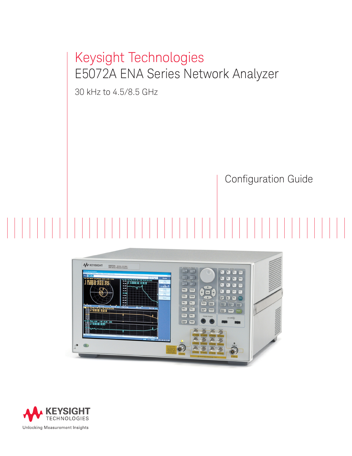# Keysight Technologies E5072A ENA Series Network Analyzer

30 kHz to 4.5/8.5 GHz

## Configuration Guide



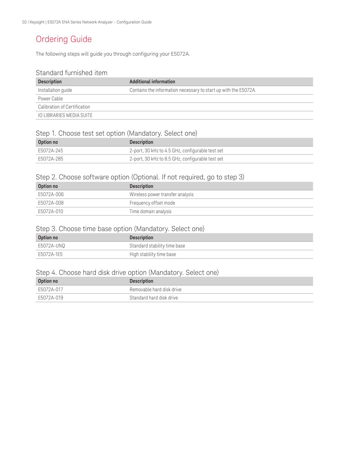## Ordering Guide

The following steps will guide you through configuring your E5072A.

## Standard furnished item

| <b>Description</b>           | Additional information                                          |
|------------------------------|-----------------------------------------------------------------|
| Installation guide           | Contains the information necessary to start up with the E5072A. |
| Power Cable                  |                                                                 |
| Calibration of Certification |                                                                 |
| TO LIBRARIES MEDIA SUITE     |                                                                 |

### Step 1. Choose test set option (Mandatory. Select one)

| Option no  | <b>Description</b>                               |
|------------|--------------------------------------------------|
| E5072A-245 | 2-port, 30 kHz to 4.5 GHz, configurable test set |
| F5072A-285 | 2-port, 30 kHz to 8.5 GHz, configurable test set |

### Step 2. Choose software option (Optional. If not required, go to step 3)

| Option no  | <b>Description</b>               |
|------------|----------------------------------|
| E5072A-006 | Wireless power transfer analysis |
| E5072A-008 | Frequency offset mode            |
| E5072A-010 | Time domain analysis             |

### Step 3. Choose time base option (Mandatory. Select one)

| Option no  | <b>Description</b>           |
|------------|------------------------------|
| E5072A-UNQ | Standard stability time base |
| E5072A-1E5 | High stability time base     |

### Step 4. Choose hard disk drive option (Mandatory. Select one)

| Option no  | <b>Description</b>        |
|------------|---------------------------|
| E5072A-017 | Removable hard disk drive |
| E5072A-019 | Standard hard disk drive  |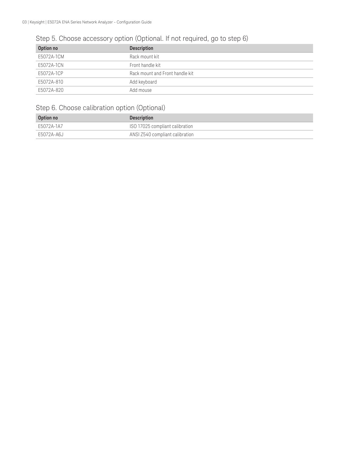## Step 5. Choose accessory option (Optional. If not required, go to step 6)

| Option no  | <b>Description</b>              |
|------------|---------------------------------|
| E5072A-1CM | Rack mount kit                  |
| E5072A-1CN | Front handle kit                |
| E5072A-1CP | Rack mount and Front handle kit |
| E5072A-810 | Add keyboard                    |
| E5072A-820 | Add mouse                       |

## Step 6. Choose calibration option (Optional)

| Option no  | <b>Description</b>              |
|------------|---------------------------------|
| E5072A-1A7 | ISO 17025 compliant calibration |
| E5072A-A6J | ANSI Z540 compliant calibration |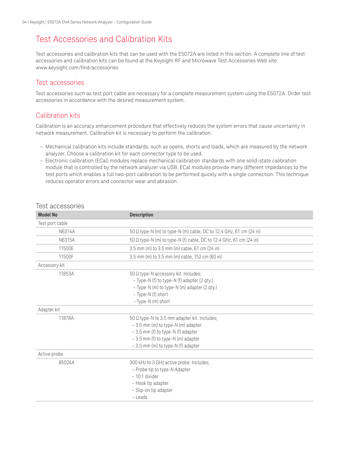## Test Accessories and Calibration Kits

Test accessories and calibration kits that can be used with the E5072A are listed in this section. A complete line of test accessories and calibration kits can be found at the Keysight RF and Microwave Test Accessories Web site: www.keysight.com/find/accessories

### Test accessories

Test accessories such as test port cable are necessary for a complete measurement system using the E5072A. Order test accessories in accordance with the desired measurement system.

## Calibration kits

Calibration is an accuracy enhancement procedure that effectively reduces the system errors that cause uncertainty in network measurement. Calibration kit is necessary to perform the calibration.

- Mechanical calibration kits include standards, such as opens, shorts and loads, which are measured by the network analyzer. Choose a calibration kit for each connector type to be used.
- Electronic calibration (ECal) modules replace mechanical calibration standards with one solid-state calibration module that is controlled by the network analyzer via USB. ECal modules provide many different impedances to the test ports which enables a full two-port calibration to be performed quickly with a single connection. This technique reduces operator errors and connector wear and abrasion.

| <b>Model No</b> | <b>Description</b>                                                                                                                                                                                            |
|-----------------|---------------------------------------------------------------------------------------------------------------------------------------------------------------------------------------------------------------|
| Test port cable |                                                                                                                                                                                                               |
| N6314A          | 50 Ω type-N (m) to type-N (m) cable, DC to 12.4 GHz, 61 cm (24 in)                                                                                                                                            |
| N6315A          | 50 Ω type-N (m) to type-N (f) cable, DC to 12.4 GHz, 61 cm (24 in)                                                                                                                                            |
| 11500E          | 3.5 mm (m) to 3.5 mm (m) cable, 61 cm (24 in)                                                                                                                                                                 |
| 11500F          | 3.5 mm (m) to 3.5 mm (m) cable, 152 cm (60 in)                                                                                                                                                                |
| Accessory kit   |                                                                                                                                                                                                               |
| 11853A          | 50 Ω type-N accessory kit. Includes;<br>- Type-N (f) to type-N (f) adapter (2 qty.)<br>- Type-N (m) to type-N (m) adapter (2 qty.)<br>- Type-N (f) short<br>- Type-N (m) short                                |
| Adapter kit     |                                                                                                                                                                                                               |
| 11878A          | 50 $\Omega$ type-N to 3.5 mm adapter kit. Includes;<br>$-3.5$ mm (m) to type-N (m) adapter<br>$-3.5$ mm (f) to type-N (f) adapter<br>- 3.5 mm (f) to type-N (m) adapter<br>- 3.5 mm (m) to type-N (f) adapter |
| Active probe    |                                                                                                                                                                                                               |
| 85024A          | 300 kHz to 3 GHz active probe. Includes;<br>- Probe tip to type-N Adapter<br>$-10:1$ divider<br>- Hook tip adapter<br>- Slip-on tip adapter<br>- Leads                                                        |

### Test accessories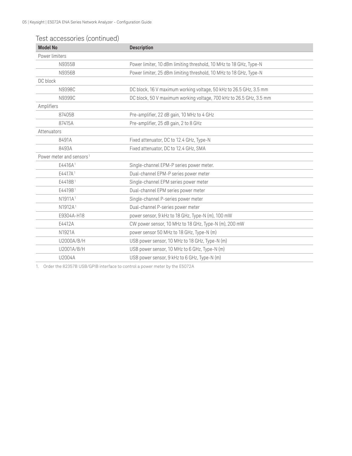### Test accessories (continued)

| <b>Model No</b>                      | <b>Description</b>                                                  |
|--------------------------------------|---------------------------------------------------------------------|
| Power limiters                       |                                                                     |
| N9355B                               | Power limiter, 10 dBm limiting threshold, 10 MHz to 18 GHz, Type-N  |
| N9356B                               | Power limiter, 25 dBm limiting threshold, 10 MHz to 18 GHz, Type-N  |
| DC block                             |                                                                     |
| N9398C                               | DC block, 16 V maximum working voltage, 50 kHz to 26.5 GHz, 3.5 mm  |
| N9399C                               | DC block, 50 V maximum working voltage, 700 kHz to 26.5 GHz, 3.5 mm |
| Amplifiers                           |                                                                     |
| 87405B                               | Pre-amplifier, 22 dB gain, 10 MHz to 4 GHz                          |
| 87415A                               | Pre-amplifier, 25 dB gain, 2 to 8 GHz                               |
| Attenuators                          |                                                                     |
| 8491A                                | Fixed attenuator, DC to 12.4 GHz, Type-N                            |
| 8493A                                | Fixed attenuator, DC to 12.4 GHz, SMA                               |
| Power meter and sensors <sup>1</sup> |                                                                     |
| E4416A <sup>1</sup>                  | Single-channel EPM-P series power meter.                            |
| E4417A <sup>1</sup>                  | Dual-channel EPM-P series power meter                               |
| E4418B1                              | Single-channel EPM series power meter                               |
| E4419B <sup>1</sup>                  | Dual-channel EPM series power meter                                 |
| N1911A <sup>1</sup>                  | Single-channel P-series power meter                                 |
| N1912A <sup>1</sup>                  | Dual-channel P-series power meter                                   |
| E9304A-H18                           | power sensor, 9 kHz to 18 GHz, Type-N (m), 100 mW                   |
| E4412A                               | CW power sensor, 10 MHz to 18 GHz, Type-N (m), 200 mW               |
| N1921A                               | power sensor 50 MHz to 18 GHz, Type-N (m)                           |
| U2000A/B/H                           | USB power sensor, 10 MHz to 18 GHz, Type-N (m)                      |
| U2001A/B/H                           | USB power sensor, 10 MHz to 6 GHz, Type-N (m)                       |
| U2004A                               | USB power sensor, 9 kHz to 6 GHz, Type-N (m)                        |

1. Order the 82357B USB/GPIB interface to control a power meter by the E5072A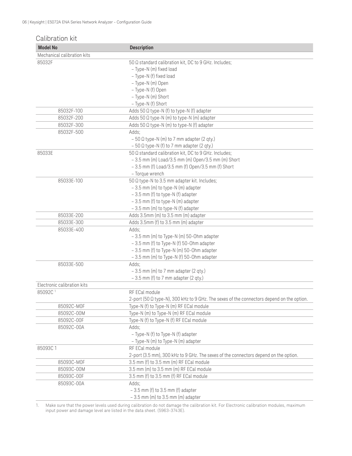| Calibration kit             |                                                                                           |
|-----------------------------|-------------------------------------------------------------------------------------------|
| <b>Model No</b>             | <b>Description</b>                                                                        |
| Mechanical calibration kits |                                                                                           |
| 85032F                      | 50 Q standard calibration kit, DC to 9 GHz. Includes;                                     |
|                             | - Type-N (m) fixed load                                                                   |
|                             | - Type-N (f) fixed load                                                                   |
|                             | - Type-N (m) Open                                                                         |
|                             | - Type-N (f) Open                                                                         |
|                             | - Type-N (m) Short                                                                        |
|                             | - Type-N (f) Short                                                                        |
| 85032F-100                  | Adds 50 $\Omega$ type-N (f) to type-N (f) adapter                                         |
| 85032F-200                  | Adds 50 $\Omega$ type-N (m) to type-N (m) adapter                                         |
| 85032F-300                  | Adds 50 $\Omega$ type-N (m) to type-N (f) adapter                                         |
| 85032F-500                  | Adds;                                                                                     |
|                             | $-50 \Omega$ type-N (m) to 7 mm adapter (2 qty.)                                          |
|                             | $-50 \Omega$ type-N (f) to 7 mm adapter (2 qty.)                                          |
| 85033E                      | 50 Q standard calibration kit, DC to 9 GHz. Includes;                                     |
|                             | - 3.5 mm (m) Load/3.5 mm (m) Open/3.5 mm (m) Short                                        |
|                             | - 3.5 mm (f) Load/3.5 mm (f) Open/3.5 mm (f) Short                                        |
|                             | - Torque wrench                                                                           |
| 85033E-100                  | 50 Q type-N to 3.5 mm adapter kit. Includes;                                              |
|                             | - 3.5 mm (m) to type-N (m) adapter                                                        |
|                             | - 3.5 mm (f) to type-N (f) adapter                                                        |
|                             | - 3.5 mm (f) to type-N (m) adapter                                                        |
|                             | - 3.5 mm (m) to type-N (f) adapter                                                        |
| 85033E-200                  | Adds 3.5mm (m) to 3.5 mm (m) adapter                                                      |
| 85033E-300                  | Adds 3.5mm (f) to 3.5 mm (m) adapter                                                      |
| 85033E-400                  | Adds;                                                                                     |
|                             | - 3.5 mm (m) to Type-N (m) 50-Ohm adapter                                                 |
|                             | $-3.5$ mm (f) to Type-N (f) 50-Ohm adapter                                                |
|                             | - 3.5 mm (f) to Type-N (m) 50-Ohm adapter                                                 |
|                             | - 3.5 mm (m) to Type-N (f) 50-Ohm adapter                                                 |
| 85033E-500                  | Adds;                                                                                     |
|                             | $-3.5$ mm (m) to 7 mm adapter (2 qty.)                                                    |
|                             | $-3.5$ mm (f) to 7 mm adapter (2 qty.)                                                    |
| Electronic calibration kits |                                                                                           |
| 85092C <sup>1</sup>         | RF ECal module                                                                            |
|                             | 2-port (50 Ω type-N), 300 kHz to 9 GHz. The sexes of the connectors depend on the option. |
| 85092C-M0F                  | Type-N (f) to Type-N (m) RF ECal module                                                   |
| 85092C-00M                  | Type-N (m) to Type-N (m) RF ECal module                                                   |
| 85092C-00F                  | Type-N (f) to Type-N (f) RF ECal module                                                   |
| 85092C-00A                  | Adds;                                                                                     |
|                             | - Type-N (f) to Type-N (f) adapter                                                        |
|                             | - Type-N (m) to Type-N (m) adapter                                                        |
| 85093C1                     | RF ECal module                                                                            |
|                             | 2-port (3.5 mm), 300 kHz to 9 GHz. The sexes of the connectors depend on the option.      |
| 85093C-M0F                  | 3.5 mm (f) to 3.5 mm (m) RF ECal module                                                   |
| 85093C-00M                  | 3.5 mm (m) to 3.5 mm (m) RF ECal module                                                   |
| 85093C-00F                  | 3.5 mm (f) to 3.5 mm (f) RF ECal module                                                   |
| 85093C-00A                  | Adds;                                                                                     |
|                             | $-3.5$ mm (f) to $3.5$ mm (f) adapter                                                     |
|                             | $-3.5$ mm (m) to $3.5$ mm (m) adapter                                                     |

1. Make sure that the power levels used during calibration do not damage the calibration kit. For Electronic calibration modules, maximum input power and damage level are listed in the data sheet. (5963-3743E).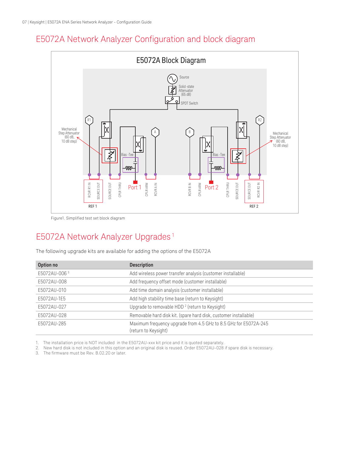## E5072A Network Analyzer Configuration and block diagram



Figure1. Simplified test set block diagram

## E5072A Network Analyzer Upgrades<sup>1</sup>

The following upgrade kits are available for adding the options of the E5072A

| Option no    | <b>Description</b>                                                                       |
|--------------|------------------------------------------------------------------------------------------|
| E5072AU-0063 | Add wireless power transfer analysis (customer installable)                              |
| E5072AU-008  | Add frequency offset mode (customer installable)                                         |
| E5072AU-010  | Add time domain analysis (customer installable)                                          |
| E5072AU-1E5  | Add high stability time base (return to Keysight)                                        |
| E5072AU-027  | Upgrade to removable HDD <sup>2</sup> (return to Keysight)                               |
| E5072AU-028  | Removable hard disk kit. (spare hard disk, customer installable)                         |
| E5072AU-285  | Maximum frequency upgrade from 4.5 GHz to 8.5 GHz for E5072A-245<br>(return to Keysight) |

1. The installation price is NOT included in the E5072AU-xxx kit price and it is quoted separately.

2. New hard disk is not included in this option and an original disk is reused. Order E5072AU-028 if spare disk is necessary.<br>3. The firmware must be Rev. B.02.20 or later.

The firmware must be Rev. B.02.20 or later.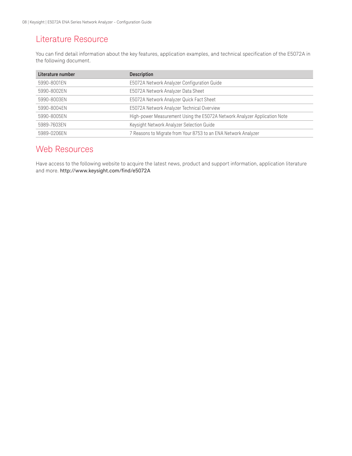## Literature Resource

You can find detail information about the key features, application examples, and technical specification of the E5072A in the following document.

| Literature number | <b>Description</b>                                                        |
|-------------------|---------------------------------------------------------------------------|
| 5990-8001EN       | E5072A Network Analyzer Configuration Guide                               |
| 5990-8002EN       | E5072A Network Analyzer Data Sheet                                        |
| 5990-8003EN       | E5072A Network Analyzer Quick Fact Sheet                                  |
| 5990-8004EN       | E5072A Network Analyzer Technical Overview                                |
| 5990-8005EN       | High-power Measurement Using the E5072A Network Analyzer Application Note |
| 5989-7603EN       | Keysight Network Analyzer Selection Guide                                 |
| 5989-0206EN       | 7 Reasons to Migrate from Your 8753 to an ENA Network Analyzer            |

## Web Resources

Have access to the following website to acquire the latest news, product and support information, application literature and more. http://www.keysight.com/find/e5072A